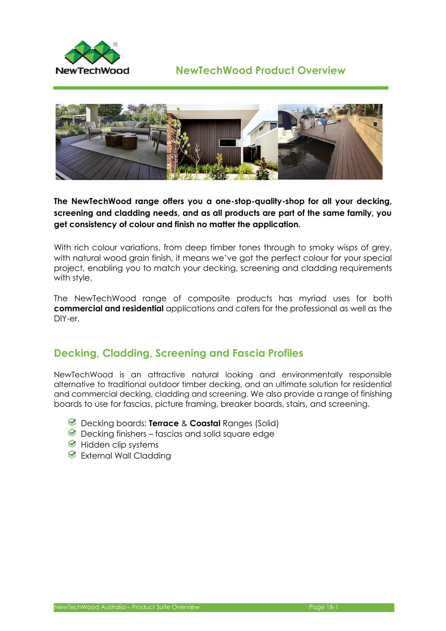



**The NewTechWood range offers you a one-stop-quality-shop for all your decking, screening and cladding needs, and as all products are part of the same family, you get consistency of colour and finish no matter the application.**

With rich colour variations, from deep timber tones through to smoky wisps of grey, with natural wood grain finish, it means we've got the perfect colour for your special project, enabling you to match your decking, screening and cladding requirements with style.

The NewTechWood range of composite products has myriad uses for both **commercial and residential** applications and caters for the professional as well as the DIY-er.

## **Decking, Cladding, Screening and Fascia Profiles**

NewTechWood is an attractive natural looking and environmentally responsible alternative to traditional outdoor timber decking, and an ultimate solution for residential and commercial decking, cladding and screening. We also provide a range of finishing boards to use for fascias, picture framing, breaker boards, stairs, and screening.

- Decking boards: **Terrace** & **Coastal** Ranges (Solid)
- $\Theta$  Decking finishers fascias and solid square edge
- $\Theta$  Hidden clip systems
- **■** External Wall Cladding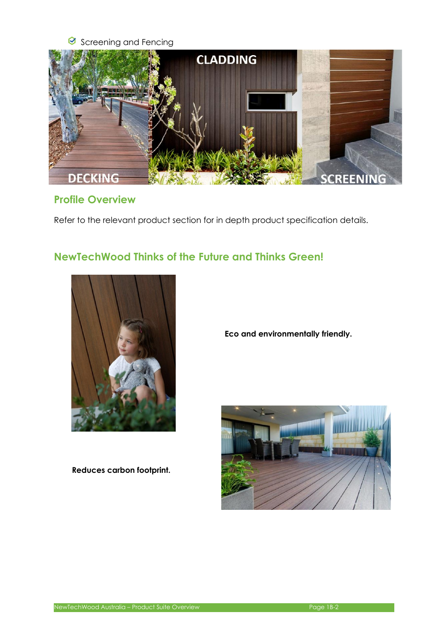#### Screening and Fencing



### **Profile Overview**

Refer to the relevant product section for in depth product specification details.

# **NewTechWood Thinks of the Future and Thinks Green!**



**Reduces carbon footprint.**

**Eco and environmentally friendly.**

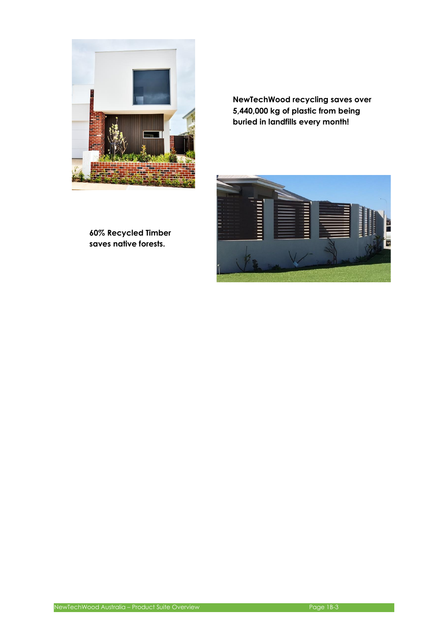

**NewTechWood recycling saves over 5,440,000 kg of plastic from being buried in landfills every month!**



**60% Recycled Timber saves native forests.**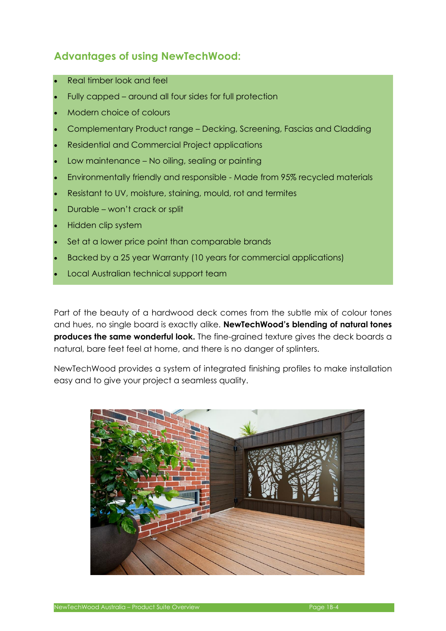# **Advantages of using NewTechWood:**

- Real timber look and feel
- Fully capped around all four sides for full protection
- Modern choice of colours
- Complementary Product range Decking, Screening, Fascias and Cladding
- Residential and Commercial Project applications
- Low maintenance No oiling, sealing or painting
- Environmentally friendly and responsible Made from 95% [recycled materials](http://newtechwood.com.au/sustainability/)
- Resistant to UV, moisture, staining, mould, rot and termites
- Durable won't crack or split
- Hidden clip system
- Set at a lower price point than comparable brands
- Backed by a 25 year [Warranty](http://newtechwood.com.au/warranty/) (10 years for commercial applications)
- Local Australian technical support team

Part of the beauty of a hardwood deck comes from the subtle mix of colour tones and hues, no single board is exactly alike. **NewTechWood's blending of natural tones produces the same wonderful look.** The fine-grained texture gives the deck boards a natural, bare feet feel at home, and there is no danger of splinters.

NewTechWood provides a system of integrated finishing profiles to make installation easy and to give your project a seamless quality.